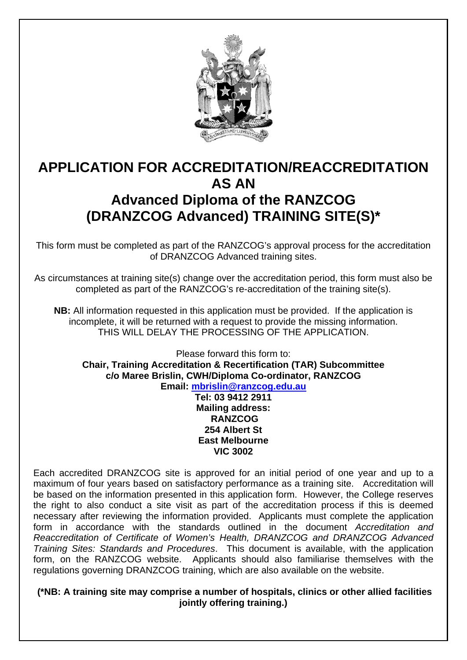

# **APPLICATION FOR ACCREDITATION/REACCREDITATION AS AN Advanced Diploma of the RANZCOG (DRANZCOG Advanced) TRAINING SITE(S)\***

This form must be completed as part of the RANZCOG's approval process for the accreditation of DRANZCOG Advanced training sites.

As circumstances at training site(s) change over the accreditation period, this form must also be completed as part of the RANZCOG's re-accreditation of the training site(s).

**NB:** All information requested in this application must be provided. If the application is incomplete, it will be returned with a request to provide the missing information. THIS WILL DELAY THE PROCESSING OF THE APPLICATION.

Please forward this form to: **Chair, Training Accreditation & Recertification (TAR) Subcommittee c/o Maree Brislin, CWH/Diploma Co-ordinator, RANZCOG Email: mbrislin@ranzcog.edu.au Tel: 03 9412 2911** 

**Mailing address: RANZCOG 254 Albert St East Melbourne VIC 3002** 

Each accredited DRANZCOG site is approved for an initial period of one year and up to a maximum of four years based on satisfactory performance as a training site. Accreditation will be based on the information presented in this application form. However, the College reserves the right to also conduct a site visit as part of the accreditation process if this is deemed necessary after reviewing the information provided. Applicants must complete the application form in accordance with the standards outlined in the document *Accreditation and Reaccreditation of Certificate of Women's Health, DRANZCOG and DRANZCOG Advanced Training Sites: Standards and Procedures*. This document is available, with the application form, on the RANZCOG website. Applicants should also familiarise themselves with the regulations governing DRANZCOG training, which are also available on the website.

 **(\*NB: A training site may comprise a number of hospitals, clinics or other allied facilities jointly offering training.)**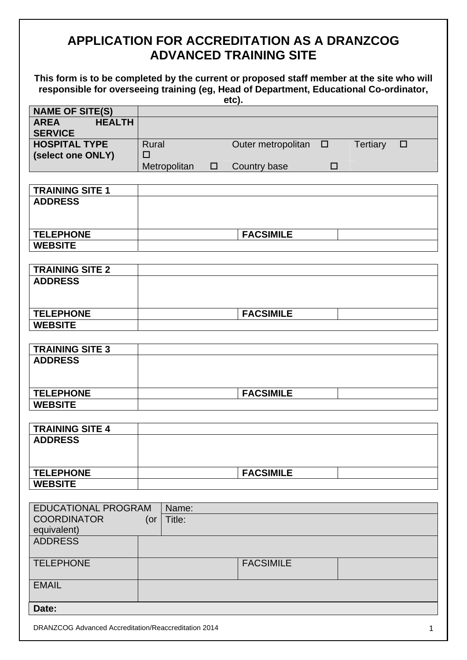# **APPLICATION FOR ACCREDITATION AS A DRANZCOG ADVANCED TRAINING SITE**

**This form is to be completed by the current or proposed staff member at the site who will responsible for overseeing training (eg, Head of Department, Educational Co-ordinator,** 

|                              |                  |        | etc).                     |        |                 |        |
|------------------------------|------------------|--------|---------------------------|--------|-----------------|--------|
| <b>NAME OF SITE(S)</b>       |                  |        |                           |        |                 |        |
| <b>HEALTH</b><br><b>AREA</b> |                  |        |                           |        |                 |        |
| <b>SERVICE</b>               |                  |        |                           |        |                 |        |
| <b>HOSPITAL TYPE</b>         | <b>Rural</b>     |        | Outer metropolitan $\Box$ |        | <b>Tertiary</b> | $\Box$ |
| (select one ONLY)            | $\Box$           |        |                           |        |                 |        |
|                              | Metropolitan     | $\Box$ | Country base              | $\Box$ |                 |        |
|                              |                  |        |                           |        |                 |        |
| <b>TRAINING SITE 1</b>       |                  |        |                           |        |                 |        |
| <b>ADDRESS</b>               |                  |        |                           |        |                 |        |
|                              |                  |        |                           |        |                 |        |
|                              |                  |        |                           |        |                 |        |
| <b>TELEPHONE</b>             |                  |        | <b>FACSIMILE</b>          |        |                 |        |
| <b>WEBSITE</b>               |                  |        |                           |        |                 |        |
|                              |                  |        |                           |        |                 |        |
| <b>TRAINING SITE 2</b>       |                  |        |                           |        |                 |        |
| <b>ADDRESS</b>               |                  |        |                           |        |                 |        |
|                              |                  |        |                           |        |                 |        |
|                              |                  |        |                           |        |                 |        |
| <b>TELEPHONE</b>             |                  |        | <b>FACSIMILE</b>          |        |                 |        |
| <b>WEBSITE</b>               |                  |        |                           |        |                 |        |
|                              |                  |        |                           |        |                 |        |
| <b>TRAINING SITE 3</b>       |                  |        |                           |        |                 |        |
| <b>ADDRESS</b>               |                  |        |                           |        |                 |        |
|                              |                  |        |                           |        |                 |        |
|                              |                  |        |                           |        |                 |        |
| <b>TELEPHONE</b>             |                  |        | <b>FACSIMILE</b>          |        |                 |        |
| <b>WEBSITE</b>               |                  |        |                           |        |                 |        |
|                              |                  |        |                           |        |                 |        |
| <b>TRAINING SITE 4</b>       |                  |        |                           |        |                 |        |
| <b>ADDRESS</b>               |                  |        |                           |        |                 |        |
|                              |                  |        |                           |        |                 |        |
|                              |                  |        |                           |        |                 |        |
| <b>TELEPHONE</b>             |                  |        | <b>FACSIMILE</b>          |        |                 |        |
| <b>WEBSITE</b>               |                  |        |                           |        |                 |        |
|                              |                  |        |                           |        |                 |        |
| <b>EDUCATIONAL PROGRAM</b>   | Name:            |        |                           |        |                 |        |
| <b>COORDINATOR</b>           | Title:<br>$($ or |        |                           |        |                 |        |
| equivalent)                  |                  |        |                           |        |                 |        |
| <b>ADDRESS</b>               |                  |        |                           |        |                 |        |
|                              |                  |        |                           |        |                 |        |
| <b>TELEPHONE</b>             |                  |        | <b>FACSIMILE</b>          |        |                 |        |
|                              |                  |        |                           |        |                 |        |
| <b>EMAIL</b>                 |                  |        |                           |        |                 |        |
|                              |                  |        |                           |        |                 |        |
| Date:                        |                  |        |                           |        |                 |        |
|                              |                  |        |                           |        |                 |        |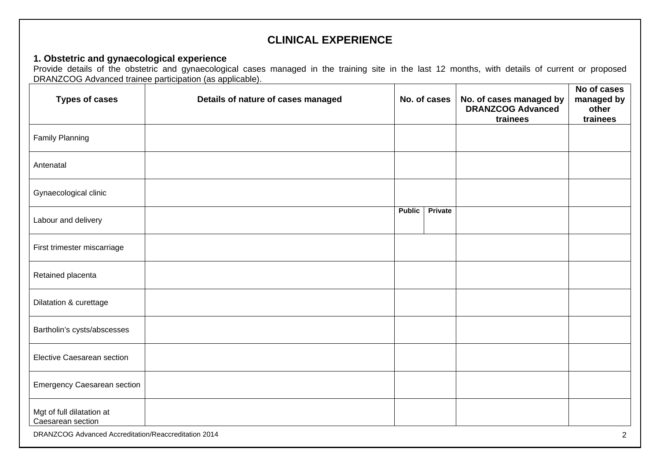## **CLINICAL EXPERIENCE**

#### **1. Obstetric and gynaecological experience**

Provide details of the obstetric and gynaecological cases managed in the training site in the last 12 months, with details of current or proposed DRANZCOG Advanced trainee participation (as applicable).

| <b>Types of cases</b>                                | Details of nature of cases managed |               | No. of cases | No. of cases managed by<br><b>DRANZCOG Advanced</b><br>trainees | No of cases<br>managed by<br>other<br>trainees |
|------------------------------------------------------|------------------------------------|---------------|--------------|-----------------------------------------------------------------|------------------------------------------------|
| <b>Family Planning</b>                               |                                    |               |              |                                                                 |                                                |
| Antenatal                                            |                                    |               |              |                                                                 |                                                |
| Gynaecological clinic                                |                                    |               |              |                                                                 |                                                |
| Labour and delivery                                  |                                    | <b>Public</b> | Private      |                                                                 |                                                |
| First trimester miscarriage                          |                                    |               |              |                                                                 |                                                |
| Retained placenta                                    |                                    |               |              |                                                                 |                                                |
| Dilatation & curettage                               |                                    |               |              |                                                                 |                                                |
| Bartholin's cysts/abscesses                          |                                    |               |              |                                                                 |                                                |
| <b>Elective Caesarean section</b>                    |                                    |               |              |                                                                 |                                                |
| <b>Emergency Caesarean section</b>                   |                                    |               |              |                                                                 |                                                |
| Mgt of full dilatation at<br>Caesarean section       |                                    |               |              |                                                                 |                                                |
| DRANZCOG Advanced Accreditation/Reaccreditation 2014 |                                    |               |              |                                                                 | $\overline{2}$                                 |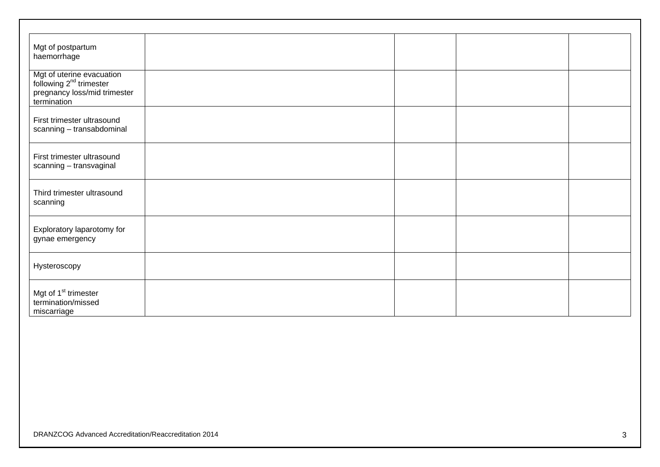| Mgt of postpartum<br>haemorrhage                                                                         |  |  |
|----------------------------------------------------------------------------------------------------------|--|--|
| Mgt of uterine evacuation<br>following $2^{nd}$ trimester<br>pregnancy loss/mid trimester<br>termination |  |  |
| First trimester ultrasound<br>scanning - transabdominal                                                  |  |  |
| First trimester ultrasound<br>scanning - transvaginal                                                    |  |  |
| Third trimester ultrasound<br>scanning                                                                   |  |  |
| Exploratory laparotomy for<br>gynae emergency                                                            |  |  |
| Hysteroscopy                                                                                             |  |  |
| Mgt of 1 <sup>st</sup> trimester<br>termination/missed<br>miscarriage                                    |  |  |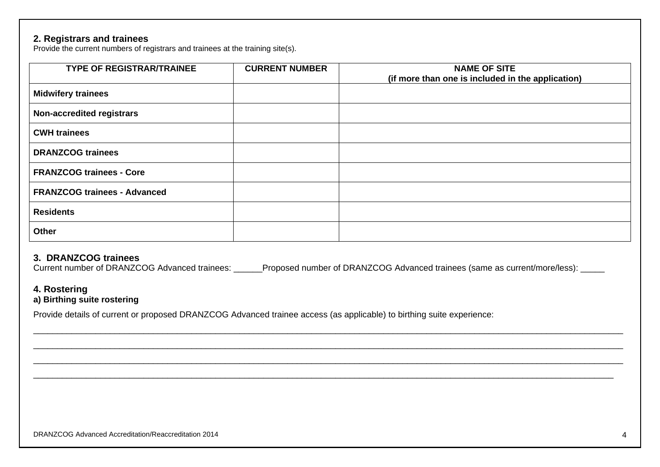#### **2. Registrars and trainees**

Provide the current numbers of registrars and trainees at the training site(s).

| <b>TYPE OF REGISTRAR/TRAINEE</b>    | <b>CURRENT NUMBER</b> | <b>NAME OF SITE</b><br>(if more than one is included in the application) |
|-------------------------------------|-----------------------|--------------------------------------------------------------------------|
| <b>Midwifery trainees</b>           |                       |                                                                          |
| <b>Non-accredited registrars</b>    |                       |                                                                          |
| <b>CWH trainees</b>                 |                       |                                                                          |
| <b>DRANZCOG trainees</b>            |                       |                                                                          |
| <b>FRANZCOG trainees - Core</b>     |                       |                                                                          |
| <b>FRANZCOG trainees - Advanced</b> |                       |                                                                          |
| <b>Residents</b>                    |                       |                                                                          |
| Other                               |                       |                                                                          |

#### **3. DRANZCOG trainees**

Current number of DRANZCOG Advanced trainees: <br>Proposed number of DRANZCOG Advanced trainees: <br>Proposed number of DRANZCOG Advanced trainees:

### **4. Rostering**

#### **a) Birthing suite rostering**

Provide details of current or proposed DRANZCOG Advanced trainee access (as applicable) to birthing suite experience: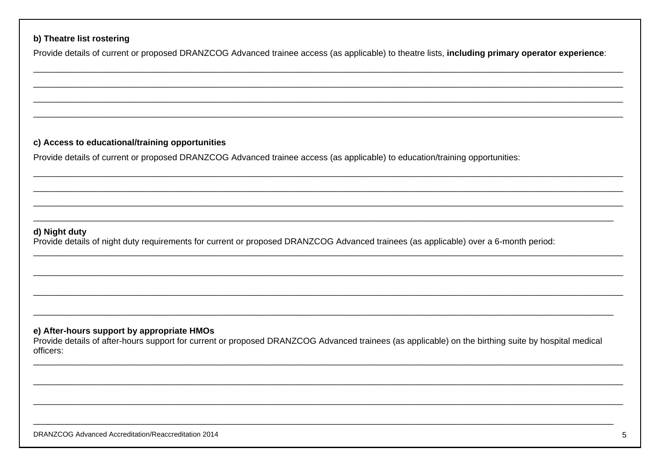#### b) Theatre list rostering

Provide details of current or proposed DRANZCOG Advanced trainee access (as applicable) to theatre lists, including primary operator experience:

#### c) Access to educational/training opportunities

Provide details of current or proposed DRANZCOG Advanced trainee access (as applicable) to education/training opportunities:

#### d) Night duty

Provide details of night duty requirements for current or proposed DRANZCOG Advanced trainees (as applicable) over a 6-month period:

#### e) After-hours support by appropriate HMOs

Provide details of after-hours support for current or proposed DRANZCOG Advanced trainees (as applicable) on the birthing suite by hospital medical officers: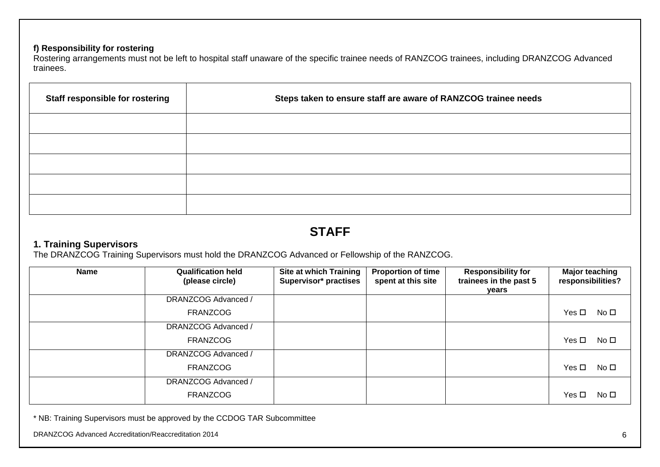### **f) Responsibility for rostering**

Rostering arrangements must not be left to hospital staff unaware of the specific trainee needs of RANZCOG trainees, including DRANZCOG Advanced trainees.

| Staff responsible for rostering | Steps taken to ensure staff are aware of RANZCOG trainee needs |
|---------------------------------|----------------------------------------------------------------|
|                                 |                                                                |
|                                 |                                                                |
|                                 |                                                                |
|                                 |                                                                |
|                                 |                                                                |

## **STAFF**

## **1. Training Supervisors**

The DRANZCOG Training Supervisors must hold the DRANZCOG Advanced or Fellowship of the RANZCOG.

| <b>Name</b> | <b>Qualification held</b><br>(please circle) | <b>Site at which Training</b><br>Supervisor* practises | <b>Proportion of time</b><br>spent at this site | <b>Responsibility for</b><br>trainees in the past 5<br>years | <b>Major teaching</b><br>responsibilities? |
|-------------|----------------------------------------------|--------------------------------------------------------|-------------------------------------------------|--------------------------------------------------------------|--------------------------------------------|
|             | DRANZCOG Advanced /                          |                                                        |                                                 |                                                              |                                            |
|             | <b>FRANZCOG</b>                              |                                                        |                                                 |                                                              | Yes □<br>No □                              |
|             | DRANZCOG Advanced /                          |                                                        |                                                 |                                                              |                                            |
|             | <b>FRANZCOG</b>                              |                                                        |                                                 |                                                              | Yes □<br>No □                              |
|             | DRANZCOG Advanced /                          |                                                        |                                                 |                                                              |                                            |
|             | <b>FRANZCOG</b>                              |                                                        |                                                 |                                                              | Yes $\Box$<br>No $\square$                 |
|             | DRANZCOG Advanced /                          |                                                        |                                                 |                                                              |                                            |
|             | <b>FRANZCOG</b>                              |                                                        |                                                 |                                                              | Yes $\Box$<br>No $\square$                 |

\* NB: Training Supervisors must be approved by the CCDOG TAR Subcommittee

DRANZCOG Advanced Accreditation/Reaccreditation 2014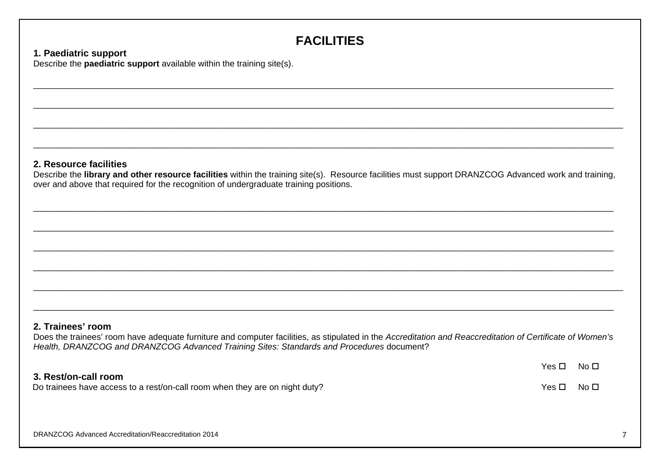# **FACILITIES**

## **1. Paediatric support**

Describe the **paediatric support** available within the training site(s).

## **2. Resource facilities**

Describe the **library and other resource facilities** within the training site(s). Resource facilities must support DRANZCOG Advanced work and training, over and above that required for the recognition of undergraduate training positions.

\_\_\_\_\_\_\_\_\_\_\_\_\_\_\_\_\_\_\_\_\_\_\_\_\_\_\_\_\_\_\_\_\_\_\_\_\_\_\_\_\_\_\_\_\_\_\_\_\_\_\_\_\_\_\_\_\_\_\_\_\_\_\_\_\_\_\_\_\_\_\_\_\_\_\_\_\_\_\_\_\_\_\_\_\_\_\_\_\_\_\_\_\_\_\_\_\_\_\_\_\_\_\_\_\_\_\_\_\_\_\_\_\_\_\_\_\_\_\_\_\_

 $\mathcal{L}_\mathcal{L} = \mathcal{L}_\mathcal{L} = \mathcal{L}_\mathcal{L} = \mathcal{L}_\mathcal{L} = \mathcal{L}_\mathcal{L} = \mathcal{L}_\mathcal{L} = \mathcal{L}_\mathcal{L} = \mathcal{L}_\mathcal{L} = \mathcal{L}_\mathcal{L} = \mathcal{L}_\mathcal{L} = \mathcal{L}_\mathcal{L} = \mathcal{L}_\mathcal{L} = \mathcal{L}_\mathcal{L} = \mathcal{L}_\mathcal{L} = \mathcal{L}_\mathcal{L} = \mathcal{L}_\mathcal{L} = \mathcal{L}_\mathcal{L}$ 

 $\mathcal{L}_\mathcal{L} = \mathcal{L}_\mathcal{L} = \mathcal{L}_\mathcal{L} = \mathcal{L}_\mathcal{L} = \mathcal{L}_\mathcal{L} = \mathcal{L}_\mathcal{L} = \mathcal{L}_\mathcal{L} = \mathcal{L}_\mathcal{L} = \mathcal{L}_\mathcal{L} = \mathcal{L}_\mathcal{L} = \mathcal{L}_\mathcal{L} = \mathcal{L}_\mathcal{L} = \mathcal{L}_\mathcal{L} = \mathcal{L}_\mathcal{L} = \mathcal{L}_\mathcal{L} = \mathcal{L}_\mathcal{L} = \mathcal{L}_\mathcal{L}$ 

#### **2. Trainees' room**

Does the trainees' room have adequate furniture and computer facilities, as stipulated in the *Accreditation and Reaccreditation of Certificate of Women's Health, DRANZCOG and DRANZCOG Advanced Training Sites: Standards and Procedures* document?

|                                                                             | Yes □ | – No ⊡ |
|-----------------------------------------------------------------------------|-------|--------|
| 3. Rest/on-call room                                                        |       |        |
| Do trainees have access to a rest/on-call room when they are on night duty? | Yes □ | No L   |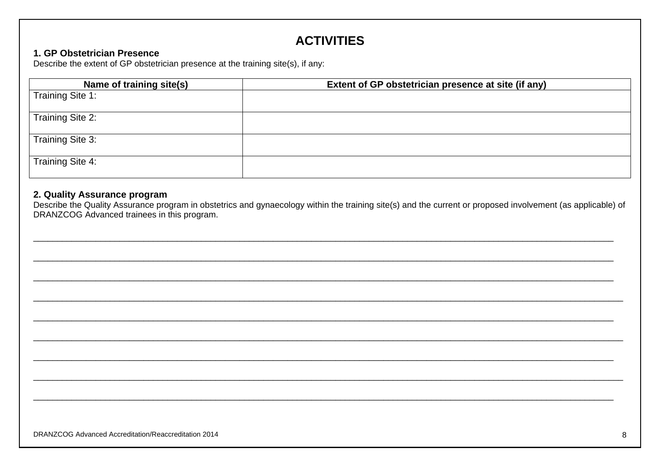# **ACTIVITIES**

### 1. GP Obstetrician Presence

Describe the extent of GP obstetrician presence at the training site(s), if any:

| Name of training site(s) | Extent of GP obstetrician presence at site (if any) |
|--------------------------|-----------------------------------------------------|
| Training Site 1:         |                                                     |
| Training Site 2:         |                                                     |
| Training Site 3:         |                                                     |
| Training Site 4:         |                                                     |

## 2. Quality Assurance program

Describe the Quality Assurance program in obstetrics and gynaecology within the training site(s) and the current or proposed involvement (as applicable) of DRANZCOG Advanced trainees in this program.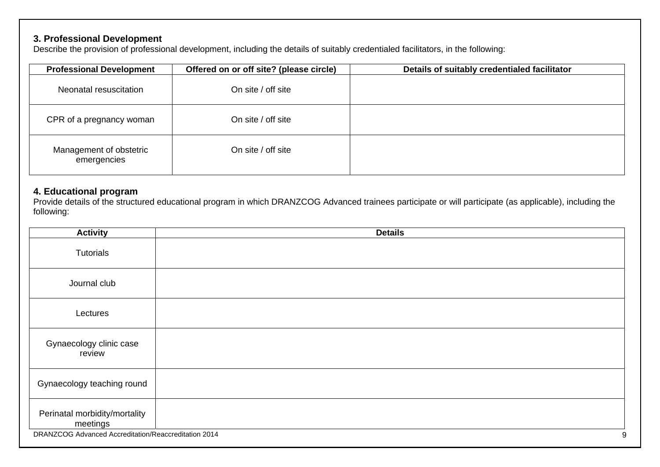## **3. Professional Development**

Describe the provision of professional development, including the details of suitably credentialed facilitators, in the following:

| <b>Professional Development</b>        | Offered on or off site? (please circle) | Details of suitably credentialed facilitator |
|----------------------------------------|-----------------------------------------|----------------------------------------------|
| Neonatal resuscitation                 | On site / off site                      |                                              |
| CPR of a pregnancy woman               | On site / off site                      |                                              |
| Management of obstetric<br>emergencies | On site / off site                      |                                              |

## **4. Educational program**

Provide details of the structured educational program in which DRANZCOG Advanced trainees participate or will participate (as applicable), including the following:

| <b>Activity</b>                                      | <b>Details</b> |
|------------------------------------------------------|----------------|
| Tutorials                                            |                |
| Journal club                                         |                |
| Lectures                                             |                |
| Gynaecology clinic case<br>review                    |                |
| Gynaecology teaching round                           |                |
| Perinatal morbidity/mortality<br>meetings            |                |
| DRANZCOG Advanced Accreditation/Reaccreditation 2014 | 9              |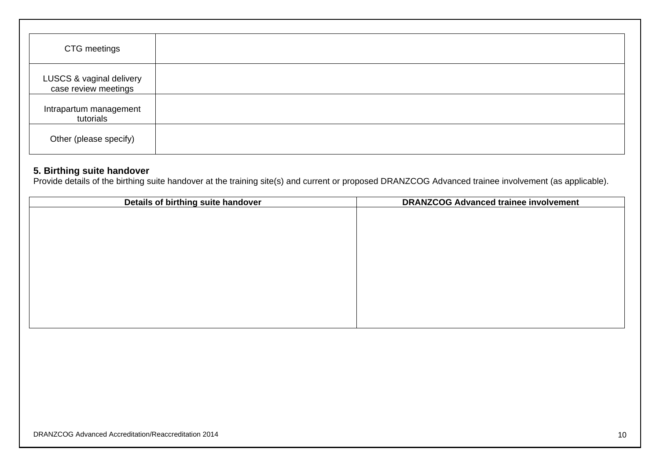| CTG meetings                                     |  |
|--------------------------------------------------|--|
| LUSCS & vaginal delivery<br>case review meetings |  |
| Intrapartum management<br>tutorials              |  |
| Other (please specify)                           |  |

#### **5. Birthing suite handover**

Provide details of the birthing suite handover at the training site(s) and current or proposed DRANZCOG Advanced trainee involvement (as applicable).

| Details of birthing suite handover | <b>DRANZCOG Advanced trainee involvement</b> |
|------------------------------------|----------------------------------------------|
|                                    |                                              |
|                                    |                                              |
|                                    |                                              |
|                                    |                                              |
|                                    |                                              |
|                                    |                                              |
|                                    |                                              |
|                                    |                                              |
|                                    |                                              |
|                                    |                                              |
|                                    |                                              |